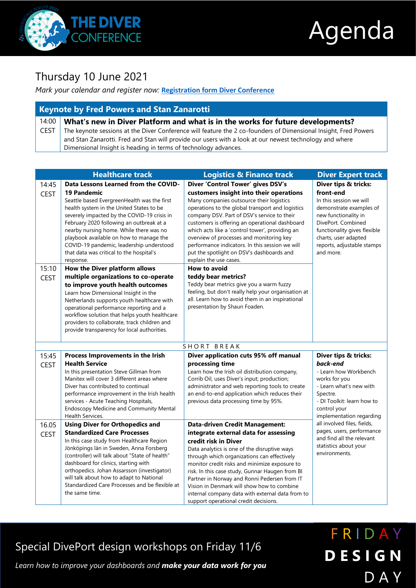

l

# Agenda

### Thursday 10 June 2021

#### *Mark your calendar and register now:* **[Registration form Diver Conference](https://online.quaestio.com/survey/qst/DIVERCONFERENCE)**

| <b>Keynote by Fred Powers and Stan Zanarotti</b> |                                                                                                                 |  |  |
|--------------------------------------------------|-----------------------------------------------------------------------------------------------------------------|--|--|
| 14:00                                            | What's new in Diver Platform and what is in the works for future developments?                                  |  |  |
| <b>CEST</b>                                      | The keynote sessions at the Diver Conference will feature the 2 co-founders of Dimensional Insight, Fred Powers |  |  |
|                                                  | and Stan Zanarotti. Fred and Stan will provide our users with a look at our newest technology and where         |  |  |
|                                                  | Dimensional Insight is heading in terms of technology advances.                                                 |  |  |
|                                                  |                                                                                                                 |  |  |

| <b>Healthcare track</b> |                                                                                          | <b>Logistics &amp; Finance track</b>                                                            | <b>Diver Expert track</b>                          |
|-------------------------|------------------------------------------------------------------------------------------|-------------------------------------------------------------------------------------------------|----------------------------------------------------|
| 14:45                   | Data Lessons Learned from the COVID-                                                     | Diver 'Control Tower' gives DSV's                                                               | Diver tips & tricks:                               |
| <b>CEST</b>             | <b>19 Pandemic</b>                                                                       | customers insight into their operations                                                         | front-end                                          |
|                         | Seattle based EvergreenHealth was the first                                              | Many companies outsource their logistics                                                        | In this session we will                            |
|                         | health system in the United States to be                                                 | operations to the global transport and logistics                                                | demonstrate examples of                            |
|                         | severely impacted by the COVID-19 crisis in                                              | company DSV. Part of DSV's service to their                                                     | new functionality in                               |
|                         | February 2020 following an outbreak at a                                                 | customers is offering an operational dashboard                                                  | DivePort. Combined<br>functionality gives flexible |
|                         | nearby nursing home. While there was no<br>playbook available on how to manage the       | which acts like a 'control tower', providing an<br>overview of processes and monitoring key     | charts, user adapted                               |
|                         | COVID-19 pandemic, leadership understood                                                 | performance indicators. In this session we will                                                 | reports, adjustable stamps                         |
|                         | that data was critical to the hospital's                                                 | put the spotlight on DSV's dashboards and                                                       | and more.                                          |
|                         | response.                                                                                | explain the use cases.                                                                          |                                                    |
| 15:10                   | <b>How to avoid</b><br>How the Diver platform allows                                     |                                                                                                 |                                                    |
| <b>CEST</b>             | multiple organizations to co-operate                                                     | teddy bear metrics?                                                                             |                                                    |
|                         | to improve youth health outcomes                                                         | Teddy bear metrics give you a warm fuzzy                                                        |                                                    |
|                         | Learn how Dimensional Insight in the                                                     | feeling, but don't really help your organisation at                                             |                                                    |
|                         | Netherlands supports youth healthcare with                                               | all. Learn how to avoid them in an inspirational                                                |                                                    |
|                         | operational performance reporting and a<br>workflow solution that helps youth healthcare | presentation by Shaun Foaden.                                                                   |                                                    |
|                         | providers to collaborate, track children and                                             |                                                                                                 |                                                    |
|                         | provide transparency for local authorities.                                              |                                                                                                 |                                                    |
|                         |                                                                                          |                                                                                                 |                                                    |
|                         |                                                                                          | SHORT BREAK                                                                                     |                                                    |
| 15:45                   | Process Improvements in the Irish                                                        | Diver application cuts 95% off manual                                                           | Diver tips & tricks:                               |
| <b>CEST</b>             | <b>Health Service</b>                                                                    | processing time                                                                                 | back-end                                           |
|                         | In this presentation Steve Gillman from                                                  | Learn how the Irish oil distribution company,                                                   | - Learn how Workbench                              |
|                         | Manitex will cover 3 different areas where                                               | Corrib Oil, uses Diver's input; production;                                                     | works for you                                      |
|                         | Diver has contributed to continual                                                       | administrator and web reporting tools to create                                                 | - Learn what's new with                            |
|                         | performance improvement in the Irish health<br>services - Acute Teaching Hospitals,      | an end-to-end application which reduces their<br>previous data processing time by 95%.          | Spectre.<br>- DI Toolkit: learn how to             |
|                         | <b>Endoscopy Medicine and Community Mental</b>                                           |                                                                                                 | control your                                       |
|                         | Health Services.                                                                         |                                                                                                 | implementation regarding                           |
| 16.05                   | <b>Using Diver for Orthopedics and</b>                                                   | <b>Data-driven Credit Management:</b>                                                           | all involved files, fields,                        |
| <b>CEST</b>             | <b>Standardized Care Processes</b>                                                       | integrate external data for assessing                                                           | pages, users, performance                          |
|                         | In this case study from Healthcare Region                                                | credit risk in Diver                                                                            | and find all the relevant                          |
|                         | Jönköpings län in Sweden, Anna Forsberg                                                  | Data analytics is one of the disruptive ways                                                    | statistics about your<br>environments.             |
|                         | (controller) will talk about "State of health"                                           | through which organizations can effectively                                                     |                                                    |
|                         | dashboard for clinics, starting with<br>orthopedics. Johan Assarsson (investigator)      | monitor credit risks and minimize exposure to                                                   |                                                    |
|                         | will talk about how to adapt to National                                                 | risk. In this case study, Gunnar Haugen from BI<br>Partner in Norway and Ronni Pedersen from IT |                                                    |
|                         | Standardized Care Processes and be flexible at                                           | Vision in Denmark will show how to combine                                                      |                                                    |
|                         | the same time.                                                                           | internal company data with external data from to                                                |                                                    |
|                         |                                                                                          |                                                                                                 |                                                    |

Special DivePort design workshops on Friday 11/6

*Learn how to improve your dashboards and make your data work for you*

## F R I D A Y **D E S I G N** D A Y